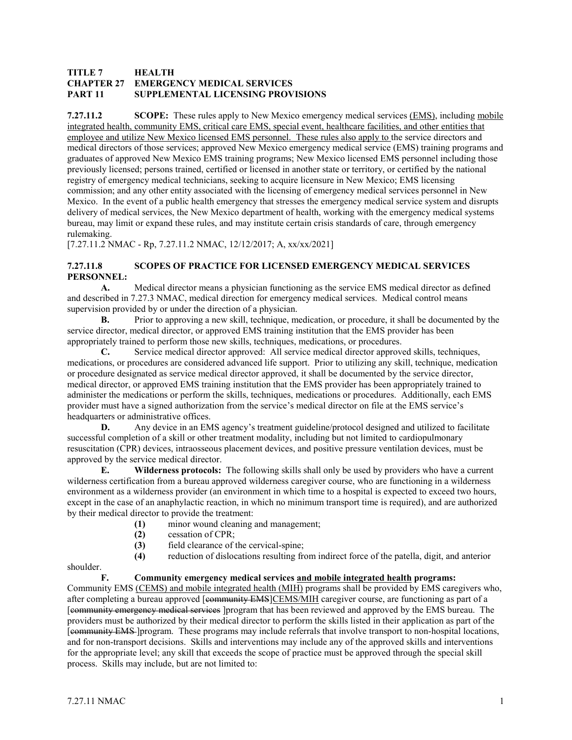# **TITLE 7 HEALTH CHAPTER 27 EMERGENCY MEDICAL SERVICES PART 11 SUPPLEMENTAL LICENSING PROVISIONS**

**7.27.11.2 SCOPE:** These rules apply to New Mexico emergency medical services (EMS), including mobile integrated health, community EMS, critical care EMS, special event, healthcare facilities, and other entities that employee and utilize New Mexico licensed EMS personnel. These rules also apply to the service directors and medical directors of those services; approved New Mexico emergency medical service (EMS) training programs and graduates of approved New Mexico EMS training programs; New Mexico licensed EMS personnel including those previously licensed; persons trained, certified or licensed in another state or territory, or certified by the national registry of emergency medical technicians, seeking to acquire licensure in New Mexico; EMS licensing commission; and any other entity associated with the licensing of emergency medical services personnel in New Mexico. In the event of a public health emergency that stresses the emergency medical service system and disrupts delivery of medical services, the New Mexico department of health, working with the emergency medical systems bureau, may limit or expand these rules, and may institute certain crisis standards of care, through emergency rulemaking.

[7.27.11.2 NMAC - Rp, 7.27.11.2 NMAC, 12/12/2017; A, xx/xx/2021]

# **7.27.11.8 SCOPES OF PRACTICE FOR LICENSED EMERGENCY MEDICAL SERVICES PERSONNEL:**

**A.** Medical director means a physician functioning as the service EMS medical director as defined and described in 7.27.3 NMAC, medical direction for emergency medical services. Medical control means supervision provided by or under the direction of a physician.

**B.** Prior to approving a new skill, technique, medication, or procedure, it shall be documented by the service director, medical director, or approved EMS training institution that the EMS provider has been appropriately trained to perform those new skills, techniques, medications, or procedures.

**C.** Service medical director approved: All service medical director approved skills, techniques, medications, or procedures are considered advanced life support. Prior to utilizing any skill, technique, medication or procedure designated as service medical director approved, it shall be documented by the service director, medical director, or approved EMS training institution that the EMS provider has been appropriately trained to administer the medications or perform the skills, techniques, medications or procedures. Additionally, each EMS provider must have a signed authorization from the service's medical director on file at the EMS service's headquarters or administrative offices.

**D.** Any device in an EMS agency's treatment guideline/protocol designed and utilized to facilitate successful completion of a skill or other treatment modality, including but not limited to cardiopulmonary resuscitation (CPR) devices, intraosseous placement devices, and positive pressure ventilation devices, must be approved by the service medical director.

**E. Wilderness protocols:** The following skills shall only be used by providers who have a current wilderness certification from a bureau approved wilderness caregiver course, who are functioning in a wilderness environment as a wilderness provider (an environment in which time to a hospital is expected to exceed two hours, except in the case of an anaphylactic reaction, in which no minimum transport time is required), and are authorized by their medical director to provide the treatment:

- **(1)** minor wound cleaning and management;<br>**(2)** essation of CPR;
- **(2)** cessation of CPR;
- **(3)** field clearance of the cervical-spine;
- **(4)** reduction of dislocations resulting from indirect force of the patella, digit, and anterior

shoulder.

#### **F. Community emergency medical services and mobile integrated health programs:**

Community EMS (CEMS) and mobile integrated health (MIH) programs shall be provided by EMS caregivers who, after completing a bureau approved [community EMS]CEMS/MIH caregiver course, are functioning as part of a [community emergency medical services ]program that has been reviewed and approved by the EMS bureau. The providers must be authorized by their medical director to perform the skills listed in their application as part of the [community EMS ]program. These programs may include referrals that involve transport to non-hospital locations, and for non-transport decisions. Skills and interventions may include any of the approved skills and interventions for the appropriate level; any skill that exceeds the scope of practice must be approved through the special skill process. Skills may include, but are not limited to: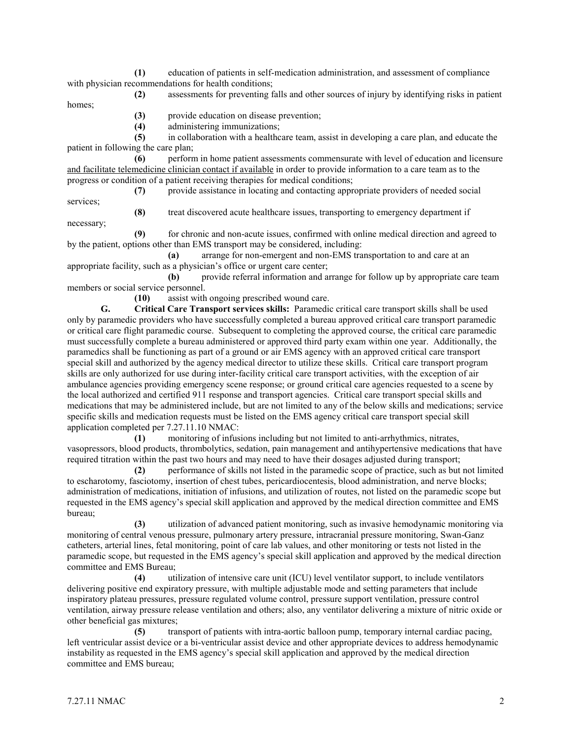**(1)** education of patients in self-medication administration, and assessment of compliance with physician recommendations for health conditions;

**(2)** assessments for preventing falls and other sources of injury by identifying risks in patient

**(3)** provide education on disease prevention;

**(4)** administering immunizations;

**(5)** in collaboration with a healthcare team, assist in developing a care plan, and educate the patient in following the care plan;

**(6)** perform in home patient assessments commensurate with level of education and licensure and facilitate telemedicine clinician contact if available in order to provide information to a care team as to the progress or condition of a patient receiving therapies for medical conditions;

**(7)** provide assistance in locating and contacting appropriate providers of needed social

services; necessary;

homes;

**(8)** treat discovered acute healthcare issues, transporting to emergency department if

**(9)** for chronic and non-acute issues, confirmed with online medical direction and agreed to by the patient, options other than EMS transport may be considered, including:

**(a)** arrange for non-emergent and non-EMS transportation to and care at an appropriate facility, such as a physician's office or urgent care center;

**(b)** provide referral information and arrange for follow up by appropriate care team members or social service personnel.

**(10)** assist with ongoing prescribed wound care.

**G. Critical Care Transport services skills:** Paramedic critical care transport skills shall be used only by paramedic providers who have successfully completed a bureau approved critical care transport paramedic or critical care flight paramedic course. Subsequent to completing the approved course, the critical care paramedic must successfully complete a bureau administered or approved third party exam within one year. Additionally, the paramedics shall be functioning as part of a ground or air EMS agency with an approved critical care transport special skill and authorized by the agency medical director to utilize these skills. Critical care transport program skills are only authorized for use during inter-facility critical care transport activities, with the exception of air ambulance agencies providing emergency scene response; or ground critical care agencies requested to a scene by the local authorized and certified 911 response and transport agencies. Critical care transport special skills and medications that may be administered include, but are not limited to any of the below skills and medications; service specific skills and medication requests must be listed on the EMS agency critical care transport special skill application completed per 7.27.11.10 NMAC:

**(1)** monitoring of infusions including but not limited to anti-arrhythmics, nitrates, vasopressors, blood products, thrombolytics, sedation, pain management and antihypertensive medications that have required titration within the past two hours and may need to have their dosages adjusted during transport;

**(2)** performance of skills not listed in the paramedic scope of practice, such as but not limited to escharotomy, fasciotomy, insertion of chest tubes, pericardiocentesis, blood administration, and nerve blocks; administration of medications, initiation of infusions, and utilization of routes, not listed on the paramedic scope but requested in the EMS agency's special skill application and approved by the medical direction committee and EMS bureau;

**(3)** utilization of advanced patient monitoring, such as invasive hemodynamic monitoring via monitoring of central venous pressure, pulmonary artery pressure, intracranial pressure monitoring, Swan-Ganz catheters, arterial lines, fetal monitoring, point of care lab values, and other monitoring or tests not listed in the paramedic scope, but requested in the EMS agency's special skill application and approved by the medical direction committee and EMS Bureau;

**(4)** utilization of intensive care unit (ICU) level ventilator support, to include ventilators delivering positive end expiratory pressure, with multiple adjustable mode and setting parameters that include inspiratory plateau pressures, pressure regulated volume control, pressure support ventilation, pressure control ventilation, airway pressure release ventilation and others; also, any ventilator delivering a mixture of nitric oxide or other beneficial gas mixtures;

**(5)** transport of patients with intra-aortic balloon pump, temporary internal cardiac pacing, left ventricular assist device or a bi-ventricular assist device and other appropriate devices to address hemodynamic instability as requested in the EMS agency's special skill application and approved by the medical direction committee and EMS bureau;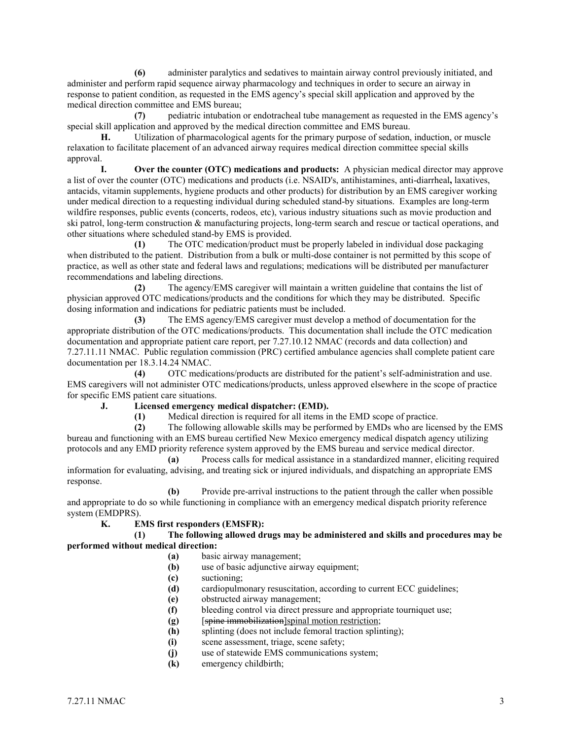**(6)** administer paralytics and sedatives to maintain airway control previously initiated, and administer and perform rapid sequence airway pharmacology and techniques in order to secure an airway in response to patient condition, as requested in the EMS agency's special skill application and approved by the medical direction committee and EMS bureau;

**(7)** pediatric intubation or endotracheal tube management as requested in the EMS agency's special skill application and approved by the medical direction committee and EMS bureau.

**H.** Utilization of pharmacological agents for the primary purpose of sedation, induction, or muscle relaxation to facilitate placement of an advanced airway requires medical direction committee special skills approval.

**I. Over the counter (OTC) medications and products:** A physician medical director may approve a list of over the counter (OTC) medications and products (i.e. NSAID's, antihistamines, anti-diarrheal**,** laxatives, antacids, vitamin supplements, hygiene products and other products) for distribution by an EMS caregiver working under medical direction to a requesting individual during scheduled stand-by situations. Examples are long-term wildfire responses, public events (concerts, rodeos, etc), various industry situations such as movie production and ski patrol, long-term construction & manufacturing projects, long-term search and rescue or tactical operations, and other situations where scheduled stand-by EMS is provided.

**(1)** The OTC medication/product must be properly labeled in individual dose packaging when distributed to the patient. Distribution from a bulk or multi-dose container is not permitted by this scope of practice, as well as other state and federal laws and regulations; medications will be distributed per manufacturer recommendations and labeling directions.

**(2)** The agency/EMS caregiver will maintain a written guideline that contains the list of physician approved OTC medications/products and the conditions for which they may be distributed. Specific dosing information and indications for pediatric patients must be included.

**(3)** The EMS agency/EMS caregiver must develop a method of documentation for the appropriate distribution of the OTC medications/products. This documentation shall include the OTC medication documentation and appropriate patient care report, per 7.27.10.12 NMAC (records and data collection) and 7.27.11.11 NMAC. Public regulation commission (PRC) certified ambulance agencies shall complete patient care

documentation per 18.3.14.24 NMAC.<br>(4) OTC medic **(4)** OTC medications/products are distributed for the patient's self-administration and use. EMS caregivers will not administer OTC medications/products, unless approved elsewhere in the scope of practice for specific EMS patient care situations.

# **J. Licensed emergency medical dispatcher: (EMD).**

**(1)** Medical direction is required for all items in the EMD scope of practice.

**(2)** The following allowable skills may be performed by EMDs who are licensed by the EMS bureau and functioning with an EMS bureau certified New Mexico emergency medical dispatch agency utilizing protocols and any EMD priority reference system approved by the EMS bureau and service medical director.

**(a)** Process calls for medical assistance in a standardized manner, eliciting required information for evaluating, advising, and treating sick or injured individuals, and dispatching an appropriate EMS response.

**(b)** Provide pre-arrival instructions to the patient through the caller when possible and appropriate to do so while functioning in compliance with an emergency medical dispatch priority reference system (EMDPRS).

# **K. EMS first responders (EMSFR):**

**(1) The following allowed drugs may be administered and skills and procedures may be performed without medical direction:**

- **(a)** basic airway management;
- **(b)** use of basic adjunctive airway equipment;
- **(c)** suctioning;
- **(d)** cardiopulmonary resuscitation, according to current ECC guidelines;
- **(e)** obstructed airway management;
- **(f)** bleeding control via direct pressure and appropriate tourniquet use;
- **(g)** [spine immobilization]spinal motion restriction;
- **(h)** splinting (does not include femoral traction splinting);
- **(i)** scene assessment, triage, scene safety;
- **(j)** use of statewide EMS communications system;
- **(k)** emergency childbirth;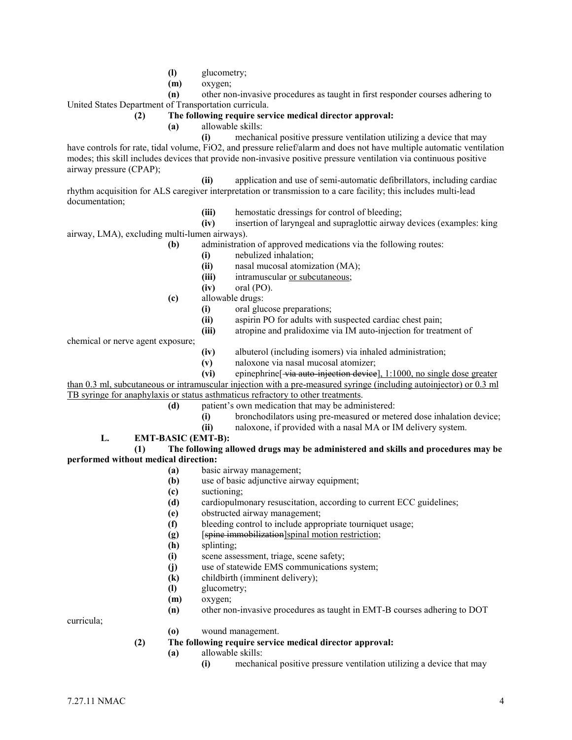- **(l)** glucometry;
- **(m)** oxygen;

**(n)** other non-invasive procedures as taught in first responder courses adhering to

United States Department of Transportation curricula.

### **(2) The following require service medical director approval:**

**(a)** allowable skills:

**(i)** mechanical positive pressure ventilation utilizing a device that may have controls for rate, tidal volume, FiO2, and pressure relief/alarm and does not have multiple automatic ventilation modes; this skill includes devices that provide non-invasive positive pressure ventilation via continuous positive airway pressure (CPAP);

**(ii)** application and use of semi-automatic defibrillators, including cardiac rhythm acquisition for ALS caregiver interpretation or transmission to a care facility; this includes multi-lead documentation;

**(iii)** hemostatic dressings for control of bleeding;

**(iv)** insertion of laryngeal and supraglottic airway devices (examples: king airway, LMA), excluding multi-lumen airways).

- **(b)** administration of approved medications via the following routes:
	- **(i)** nebulized inhalation;
	- **(ii)** nasal mucosal atomization (MA);
	- **(iii)** intramuscular or subcutaneous;
	- **(iv)** oral (PO).
- **(c)** allowable drugs:
	- **(i)** oral glucose preparations;
	- **(ii)** aspirin PO for adults with suspected cardiac chest pain;
	- **(iii)** atropine and pralidoxime via IM auto-injection for treatment of

chemical or nerve agent exposure;

- **(iv)** albuterol (including isomers) via inhaled administration;
- (v) naloxone via nasal mucosal atomizer;<br>(vi) epinephrine<sup>[</sup>via auto-injection device
- epinephrine<sup>[</sup> via auto-injection device], 1:1000, no single dose greater

than 0.3 ml, subcutaneous or intramuscular injection with a pre-measured syringe (including autoinjector) or 0.3 ml TB syringe for anaphylaxis or status asthmaticus refractory to other treatments.

- **(d)** patient's own medication that may be administered:
	- **(i)** bronchodilators using pre-measured or metered dose inhalation device;
	- **(ii)** naloxone, if provided with a nasal MA or IM delivery system.
- **L. EMT-BASIC (EMT-B):**

**(1) The following allowed drugs may be administered and skills and procedures may be performed without medical direction:**

- **(a)** basic airway management;
- **(b)** use of basic adjunctive airway equipment;
- **(c)** suctioning;
- **(d)** cardiopulmonary resuscitation, according to current ECC guidelines;
- **(e)** obstructed airway management;
- **(f)** bleeding control to include appropriate tourniquet usage;
- **(g)** [spine immobilization]spinal motion restriction;
- **(h)** splinting;
- **(i)** scene assessment, triage, scene safety;
- **(j)** use of statewide EMS communications system;
- **(k)** childbirth (imminent delivery);
- **(l)** glucometry;
- **(m)** oxygen;
- **(n)** other non-invasive procedures as taught in EMT-B courses adhering to DOT

curricula;

**(o)** wound management.

### **(2) The following require service medical director approval:**

- **(a)** allowable skills:
	- **(i)** mechanical positive pressure ventilation utilizing a device that may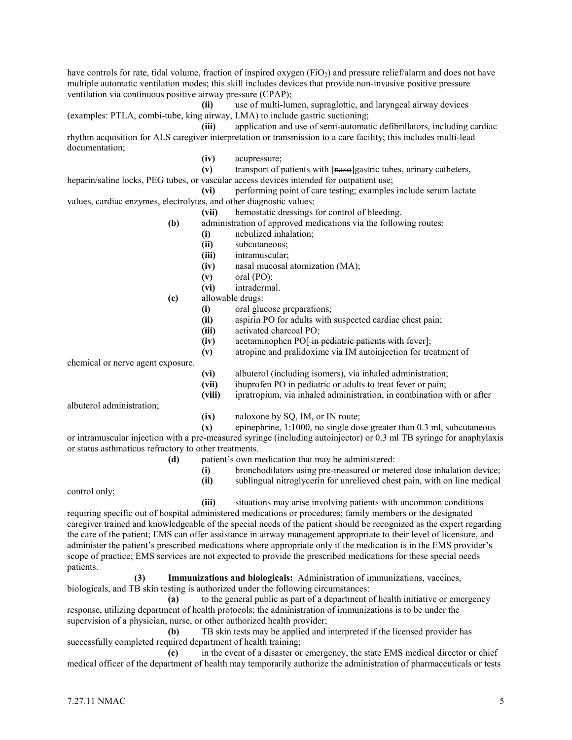have controls for rate, tidal volume, fraction of inspired oxygen (FiO<sub>2</sub>) and pressure relief/alarm and does not have multiple automatic ventilation modes; this skill includes devices that provide non-invasive positive pressure ventilation via continuous positive airway pressure (CPAP);

**(ii)** use of multi-lumen, supraglottic, and laryngeal airway devices (examples: PTLA, combi-tube, king airway, LMA) to include gastric suctioning;

**(iii)** application and use of semi-automatic defibrillators, including cardiac rhythm acquisition for ALS caregiver interpretation or transmission to a care facility; this includes multi-lead documentation;

**(iv)** acupressure;

**(v)** transport of patients with [naso]gastric tubes, urinary catheters, heparin/saline locks, PEG tubes, or vascular access devices intended for outpatient use;

**(vi)** performing point of care testing; examples include serum lactate values, cardiac enzymes, electrolytes, and other diagnostic values;

**(vii)** hemostatic dressings for control of bleeding.

- **(b)** administration of approved medications via the following routes:
	- **(i)** nebulized inhalation;
	- **(ii)** subcutaneous;
	- **(iii)** intramuscular;
	- **(iv)** nasal mucosal atomization (MA);
	- **(v)** oral (PO);
	- **(vi)** intradermal.
- **(c)** allowable drugs:
	- **(i)** oral glucose preparations;
	- **(ii)** aspirin PO for adults with suspected cardiac chest pain;
	- **(iii)** activated charcoal PO;
	- **(iv)** acetaminophen PO[ in pediatric patients with fever];
	- **(v)** atropine and pralidoxime via IM autoinjection for treatment of

chemical or nerve agent exposure.

- **(vi)** albuterol (including isomers), via inhaled administration;
- **(vii)** ibuprofen PO in pediatric or adults to treat fever or pain;
- **(viii)** ipratropium, via inhaled administration, in combination with or after

albuterol administration;

**(ix)** naloxone by SQ, IM, or IN route;

**(x)** epinephrine, 1:1000, no single dose greater than 0.3 ml, subcutaneous or intramuscular injection with a pre-measured syringe (including autoinjector) or 0.3 ml TB syringe for anaphylaxis

or status asthmaticus refractory to other treatments.

- **(d)** patient's own medication that may be administered:
	- **(i)** bronchodilators using pre-measured or metered dose inhalation device;
	- **(ii)** sublingual nitroglycerin for unrelieved chest pain, with on line medical

control only;

**(iii)** situations may arise involving patients with uncommon conditions

requiring specific out of hospital administered medications or procedures; family members or the designated caregiver trained and knowledgeable of the special needs of the patient should be recognized as the expert regarding the care of the patient; EMS can offer assistance in airway management appropriate to their level of licensure, and administer the patient's prescribed medications where appropriate only if the medication is in the EMS provider's scope of practice; EMS services are not expected to provide the prescribed medications for these special needs patients.

**(3) Immunizations and biologicals:** Administration of immunizations, vaccines, biologicals, and TB skin testing is authorized under the following circumstances:

**(a)** to the general public as part of a department of health initiative or emergency response, utilizing department of health protocols; the administration of immunizations is to be under the supervision of a physician, nurse, or other authorized health provider;

**(b)** TB skin tests may be applied and interpreted if the licensed provider has successfully completed required department of health training;

**(c)** in the event of a disaster or emergency, the state EMS medical director or chief medical officer of the department of health may temporarily authorize the administration of pharmaceuticals or tests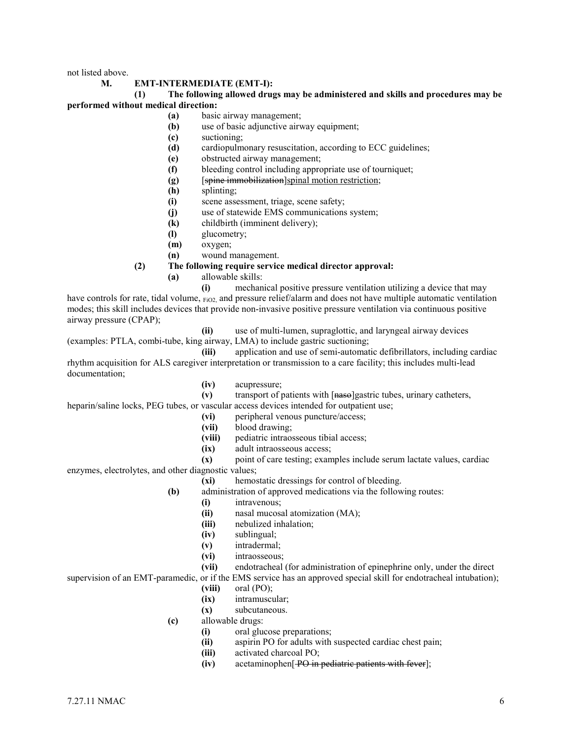not listed above.

#### **M. EMT-INTERMEDIATE (EMT-I):**

#### **(1) The following allowed drugs may be administered and skills and procedures may be performed without medical direction:**

- **(a)** basic airway management;
- **(b)** use of basic adjunctive airway equipment;
- **(c)** suctioning;
- **(d)** cardiopulmonary resuscitation, according to ECC guidelines;
- **(e)** obstructed airway management;
- **(f)** bleeding control including appropriate use of tourniquet;
- **(g)** [spine immobilization]spinal motion restriction;
- **(h)** splinting;
- **(i)** scene assessment, triage, scene safety;
- **(j)** use of statewide EMS communications system;
- **(k)** childbirth (imminent delivery);
- **(l)** glucometry;
- **(m)** oxygen;
- **(n)** wound management.
- **(2) The following require service medical director approval:**
	- **(a)** allowable skills:

**(i)** mechanical positive pressure ventilation utilizing a device that may have controls for rate, tidal volume,  $_{\text{FiO2}}$ , and pressure relief/alarm and does not have multiple automatic ventilation modes; this skill includes devices that provide non-invasive positive pressure ventilation via continuous positive airway pressure (CPAP);

- 
- **(ii)** use of multi-lumen, supraglottic, and laryngeal airway devices (examples: PTLA, combi-tube, king airway, LMA) to include gastric suctioning;

**(iii)** application and use of semi-automatic defibrillators, including cardiac rhythm acquisition for ALS caregiver interpretation or transmission to a care facility; this includes multi-lead documentation;

- **(iv)** acupressure;
- **(v)** transport of patients with [naso]gastric tubes, urinary catheters,

heparin/saline locks, PEG tubes, or vascular access devices intended for outpatient use;

- **(vi)** peripheral venous puncture/access;
- **(vii)** blood drawing;
- **(viii)** pediatric intraosseous tibial access;
- **(ix)** adult intraosseous access;
- **(x)** point of care testing; examples include serum lactate values, cardiac

enzymes, electrolytes, and other diagnostic values;

- **(xi)** hemostatic dressings for control of bleeding.
- **(b)** administration of approved medications via the following routes:
	- **(i)** intravenous;
	- **(ii)** nasal mucosal atomization (MA);
	- **(iii)** nebulized inhalation;
	- **(iv)** sublingual;
	- **(v)** intradermal;
	- **(vi)** intraosseous;
- **(vii)** endotracheal (for administration of epinephrine only, under the direct

supervision of an EMT-paramedic, or if the EMS service has an approved special skill for endotracheal intubation);

- **(viii)** oral (PO);
- **(ix)** intramuscular;
- **(x)** subcutaneous.
- **(c)** allowable drugs:
	- **(i)** oral glucose preparations;
	- **(ii)** aspirin PO for adults with suspected cardiac chest pain;
	- **(iii)** activated charcoal PO;
	- **(iv)** acetaminophen[ PO in pediatric patients with fever];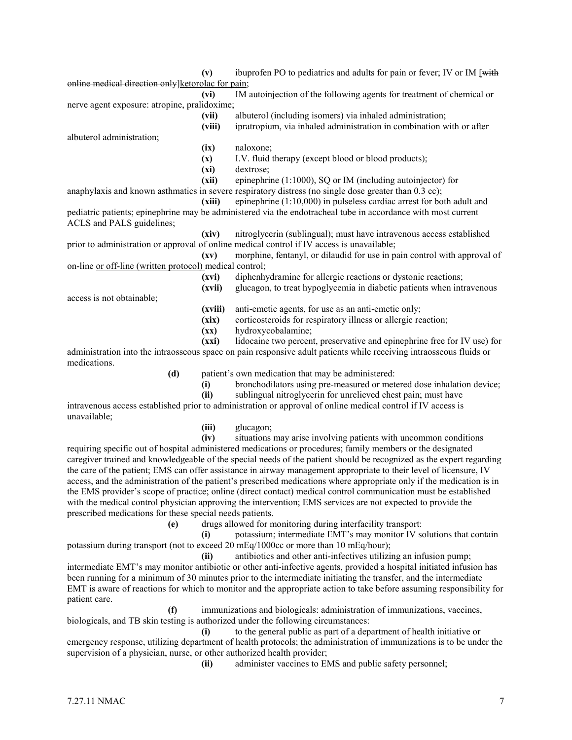**(v)** ibuprofen PO to pediatrics and adults for pain or fever; IV or IM [with online medical direction only]ketorolac for pain;

**(vi)** IM autoinjection of the following agents for treatment of chemical or nerve agent exposure: atropine, pralidoxime;

**(vii)** albuterol (including isomers) via inhaled administration;

albuterol administration;

- **(ix)** naloxone;
- **(x)** I.V. fluid therapy (except blood or blood products);
- **(xi)** dextrose;

**(xii)** epinephrine (1:1000), SQ or IM (including autoinjector) for

anaphylaxis and known asthmatics in severe respiratory distress (no single dose greater than 0.3 cc);

**(xiii)** epinephrine (1:10,000) in pulseless cardiac arrest for both adult and pediatric patients; epinephrine may be administered via the endotracheal tube in accordance with most current ACLS and PALS guidelines;

**(xiv)** nitroglycerin (sublingual); must have intravenous access established prior to administration or approval of online medical control if IV access is unavailable; **(xv)** morphine, fentanyl, or dilaudid for use in pain control with approval of

on-line or off-line (written protocol) medical control;

- **(xvi)** diphenhydramine for allergic reactions or dystonic reactions;
- **(xvii)** glucagon, to treat hypoglycemia in diabetic patients when intravenous

access is not obtainable;

- **(xviii)** anti-emetic agents, for use as an anti-emetic only;
- **(xix)** corticosteroids for respiratory illness or allergic reaction;
- **(xx)** hydroxycobalamine;

**(xxi)** lidocaine two percent, preservative and epinephrine free for IV use) for administration into the intraosseous space on pain responsive adult patients while receiving intraosseous fluids or medications.

**(d)** patient's own medication that may be administered:

- **(i)** bronchodilators using pre-measured or metered dose inhalation device;
- **(ii)** sublingual nitroglycerin for unrelieved chest pain; must have

intravenous access established prior to administration or approval of online medical control if IV access is unavailable;

**(iii)** glucagon;

situations may arise involving patients with uncommon conditions

requiring specific out of hospital administered medications or procedures; family members or the designated caregiver trained and knowledgeable of the special needs of the patient should be recognized as the expert regarding the care of the patient; EMS can offer assistance in airway management appropriate to their level of licensure, IV access, and the administration of the patient's prescribed medications where appropriate only if the medication is in the EMS provider's scope of practice; online (direct contact) medical control communication must be established with the medical control physician approving the intervention; EMS services are not expected to provide the prescribed medications for these special needs patients.

**(e)** drugs allowed for monitoring during interfacility transport:

**(i)** potassium; intermediate EMT's may monitor IV solutions that contain potassium during transport (not to exceed 20 mEq/1000cc or more than 10 mEq/hour);

**(ii)** antibiotics and other anti-infectives utilizing an infusion pump; intermediate EMT's may monitor antibiotic or other anti-infective agents, provided a hospital initiated infusion has been running for a minimum of 30 minutes prior to the intermediate initiating the transfer, and the intermediate EMT is aware of reactions for which to monitor and the appropriate action to take before assuming responsibility for patient care.

**(f)** immunizations and biologicals: administration of immunizations, vaccines, biologicals, and TB skin testing is authorized under the following circumstances:

**(i)** to the general public as part of a department of health initiative or emergency response, utilizing department of health protocols; the administration of immunizations is to be under the supervision of a physician, nurse, or other authorized health provider;

**(ii)** administer vaccines to EMS and public safety personnel;

**<sup>(</sup>viii)** ipratropium, via inhaled administration in combination with or after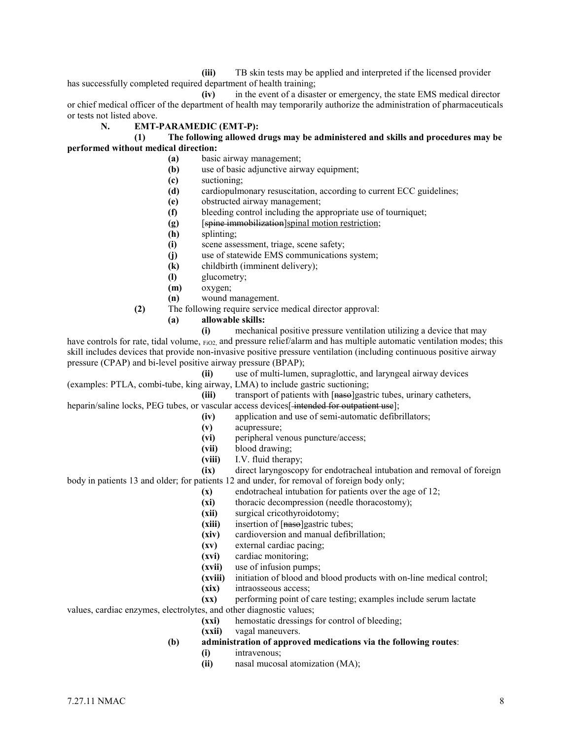**(iii)** TB skin tests may be applied and interpreted if the licensed provider has successfully completed required department of health training;

**(iv)** in the event of a disaster or emergency, the state EMS medical director or chief medical officer of the department of health may temporarily authorize the administration of pharmaceuticals or tests not listed above.

# **N. EMT-PARAMEDIC (EMT-P):**

### **(1) The following allowed drugs may be administered and skills and procedures may be performed without medical direction:**

- **(a)** basic airway management;
- **(b)** use of basic adjunctive airway equipment;
- **(c)** suctioning;
- **(d)** cardiopulmonary resuscitation, according to current ECC guidelines;
- **(e)** obstructed airway management;
- **(f)** bleeding control including the appropriate use of tourniquet;
- **(g)** [spine immobilization]spinal motion restriction;
- **(h)** splinting;
- **(i)** scene assessment, triage, scene safety;
- **(j)** use of statewide EMS communications system;
- **(k)** childbirth (imminent delivery);
- **(l)** glucometry;
- **(m)** oxygen;
- **(n)** wound management.
- **(2)** The following require service medical director approval:
	- **(a) allowable skills:**

**(i)** mechanical positive pressure ventilation utilizing a device that may have controls for rate, tidal volume, FiO2, and pressure relief/alarm and has multiple automatic ventilation modes; this skill includes devices that provide non-invasive positive pressure ventilation (including continuous positive airway pressure (CPAP) and bi-level positive airway pressure (BPAP);

**(ii)** use of multi-lumen, supraglottic, and laryngeal airway devices

(examples: PTLA, combi-tube, king airway, LMA) to include gastric suctioning; (iii) transport of patients with [nase]gastric tubes, urinary catheters,

heparin/saline locks, PEG tubes, or vascular access devices[-intended for outpatient use];

- **(iv)** application and use of semi-automatic defibrillators;
- **(v)** acupressure;
- **(vi)** peripheral venous puncture/access;
- **(vii)** blood drawing;
- **(viii)** I.V. fluid therapy;
- **(ix)** direct laryngoscopy for endotracheal intubation and removal of foreign

body in patients 13 and older; for patients 12 and under, for removal of foreign body only;

- **(x)** endotracheal intubation for patients over the age of 12;
- **(xi)** thoracic decompression (needle thoracostomy);
- **(xii)** surgical cricothyroidotomy;
- (xiii) insertion of [naso]gastric tubes;
- **(xiv)** cardioversion and manual defibrillation;
- **(xv)** external cardiac pacing;
- **(xvi)** cardiac monitoring;
- **(xvii)** use of infusion pumps;
- **(xviii)** initiation of blood and blood products with on-line medical control;
- **(xix)** intraosseous access;
- **(xx)** performing point of care testing; examples include serum lactate

values, cardiac enzymes, electrolytes, and other diagnostic values;

- **(xxi)** hemostatic dressings for control of bleeding;
- **(xxii)** vagal maneuvers.
- **(b) administration of approved medications via the following routes**:
	- **(i)** intravenous;
	- **(ii)** nasal mucosal atomization (MA);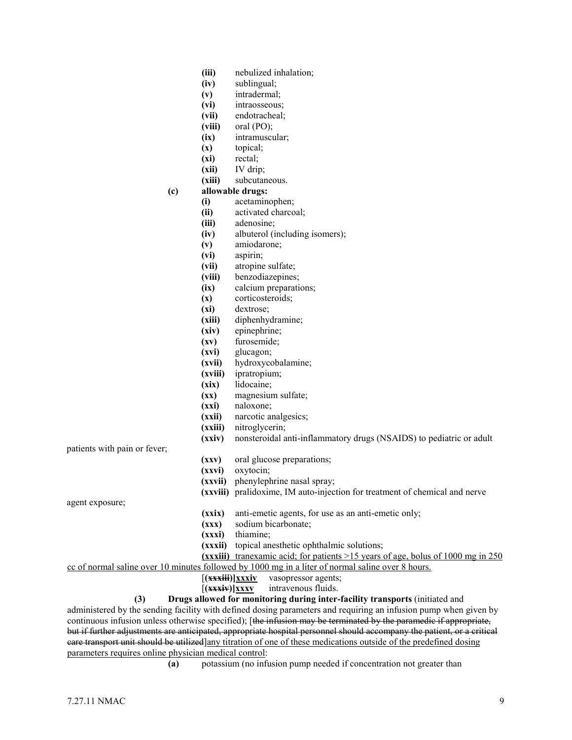|                                                                                                                                                                | (iii)                    | nebulized inhalation;                                                                      |
|----------------------------------------------------------------------------------------------------------------------------------------------------------------|--------------------------|--------------------------------------------------------------------------------------------|
|                                                                                                                                                                | (iv)                     | sublingual;                                                                                |
| (v)                                                                                                                                                            |                          | intradermal;                                                                               |
|                                                                                                                                                                | (vi)                     | intraosseous;                                                                              |
|                                                                                                                                                                | (vii)                    | endotracheal;                                                                              |
|                                                                                                                                                                | (viii)                   | oral $(PO)$ ;                                                                              |
|                                                                                                                                                                | (ix)                     | intramuscular;                                                                             |
| (x)                                                                                                                                                            |                          | topical;                                                                                   |
|                                                                                                                                                                | (xi)                     | rectal;                                                                                    |
|                                                                                                                                                                | (xii)                    | IV drip;                                                                                   |
|                                                                                                                                                                | (xiii)                   | subcutaneous.                                                                              |
| (c)                                                                                                                                                            |                          | allowable drugs:                                                                           |
| (i)                                                                                                                                                            |                          | acetaminophen;                                                                             |
| (ii)                                                                                                                                                           |                          | activated charcoal;                                                                        |
|                                                                                                                                                                | (iii)                    | adenosine;                                                                                 |
|                                                                                                                                                                | (iv)                     | albuterol (including isomers);                                                             |
| (v)                                                                                                                                                            |                          | amiodarone;                                                                                |
|                                                                                                                                                                | (vi)                     | aspirin;                                                                                   |
|                                                                                                                                                                | (vii)                    | atropine sulfate;                                                                          |
|                                                                                                                                                                | (viii)                   | benzodiazepines;                                                                           |
|                                                                                                                                                                | (ix)                     | calcium preparations;                                                                      |
| (x)                                                                                                                                                            |                          | corticosteroids;                                                                           |
|                                                                                                                                                                | (xi)                     | dextrose;                                                                                  |
|                                                                                                                                                                | (xiii)                   | diphenhydramine;                                                                           |
|                                                                                                                                                                | (xiv)                    | epinephrine;                                                                               |
|                                                                                                                                                                | (xv)                     | furosemide;                                                                                |
|                                                                                                                                                                | (xvi)                    | glucagon;                                                                                  |
|                                                                                                                                                                | (xvii)                   | hydroxycobalamine;                                                                         |
|                                                                                                                                                                | (xviii)                  | ipratropium;                                                                               |
|                                                                                                                                                                | (xix)                    | lidocaine;                                                                                 |
|                                                                                                                                                                | $(\mathbf{x}\mathbf{x})$ | magnesium sulfate;                                                                         |
|                                                                                                                                                                | (xxi)                    | naloxone;                                                                                  |
|                                                                                                                                                                | (xxii)                   | narcotic analgesics;                                                                       |
|                                                                                                                                                                | (xxiii)                  | nitroglycerin;                                                                             |
|                                                                                                                                                                | (xxiv)                   | nonsteroidal anti-inflammatory drugs (NSAIDS) to pediatric or adult                        |
| patients with pain or fever;                                                                                                                                   |                          |                                                                                            |
|                                                                                                                                                                | (xxy)                    | oral glucose preparations;                                                                 |
|                                                                                                                                                                | (xxvi)                   | oxytocin;                                                                                  |
|                                                                                                                                                                |                          | (xxvii) phenylephrine nasal spray;                                                         |
|                                                                                                                                                                |                          | (xxviii) pralidoxime, IM auto-injection for treatment of chemical and nerve                |
| agent exposure;                                                                                                                                                |                          |                                                                                            |
|                                                                                                                                                                | (xxix)                   | anti-emetic agents, for use as an anti-emetic only;                                        |
|                                                                                                                                                                | $(\mathbf{xx})$          | sodium bicarbonate;                                                                        |
|                                                                                                                                                                | (xxxi)                   | thiamine;                                                                                  |
|                                                                                                                                                                |                          | (xxxii) topical anesthetic ophthalmic solutions;                                           |
|                                                                                                                                                                |                          | (xxxiii) tranexamic acid; for patients >15 years of age, bolus of 1000 mg in $250$         |
| co of normal saline over 10 minutes followed by 1000 mg in a liter of normal saline over 8 hours.<br>$[($ <b>xxxiii</b> ) $]$ <b>xxxiv</b> vasopressor agents; |                          |                                                                                            |
|                                                                                                                                                                |                          |                                                                                            |
|                                                                                                                                                                |                          | $[(xxxiv)]$ $xxxy$<br>intravenous fluids.<br>stan inter facility transports (initiated and |

**(3) Drugs allowed for monitoring during inter-facility transports** (initiated and administered by the sending facility with defined dosing parameters and requiring an infusion pump when given by continuous infusion unless otherwise specified); [the infusion may be terminated by the paramedic if appropriate, but if further adjustments are anticipated, appropriate hospital personnel should accompany the patient, or a critical eare transport unit should be utilized]any titration of one of these medications outside of the predefined dosing parameters requires online physician medical control:<br>(a) potassium (no infl

potassium (no infusion pump needed if concentration not greater than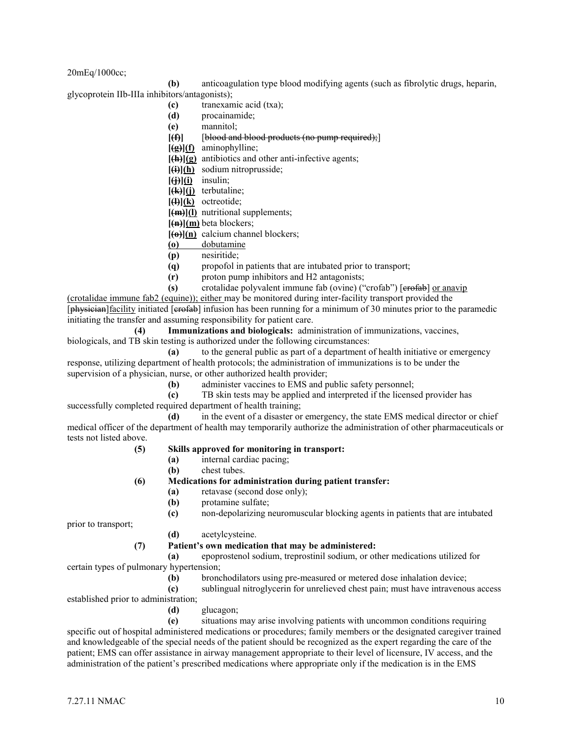20mEq/1000cc;

**(b)** anticoagulation type blood modifying agents (such as fibrolytic drugs, heparin,

glycoprotein IIb-IIIa inhibitors/antagonists);

- **(c)** tranexamic acid (txa);
- **(d)** procainamide; **(e)** mannitol;
- **[(f)]** [blood and blood products (no pump required);]
- **[(g)](f)** aminophylline;
- **[(h)](g)** antibiotics and other anti-infective agents;
- **[(i)](h)** sodium nitroprusside;
- **[(j)](i)** insulin;
- **[(k)](j)** terbutaline;
- **[(l)](k)** octreotide;
- **[(m)](l)** nutritional supplements;
- **[(n)](m)** beta blockers;
- **[(o)](n)** calcium channel blockers;
- **(o)** dobutamine
- **(p)** nesiritide;
- **(q)** propofol in patients that are intubated prior to transport;
- **(r)** proton pump inhibitors and H2 antagonists;
- **(s)** crotalidae polyvalent immune fab (ovine) ("crofab") [erofab] or anavip

(crotalidae immune fab2 (equine)); either may be monitored during inter-facility transport provided the [physician] facility initiated [erofab] infusion has been running for a minimum of 30 minutes prior to the paramedic initiating the transfer and assuming responsibility for patient care.

**(4) Immunizations and biologicals:** administration of immunizations, vaccines, biologicals, and TB skin testing is authorized under the following circumstances:

**(a)** to the general public as part of a department of health initiative or emergency response, utilizing department of health protocols; the administration of immunizations is to be under the supervision of a physician, nurse, or other authorized health provider;

**(b)** administer vaccines to EMS and public safety personnel;

**(c)** TB skin tests may be applied and interpreted if the licensed provider has successfully completed required department of health training;

**(d)** in the event of a disaster or emergency, the state EMS medical director or chief medical officer of the department of health may temporarily authorize the administration of other pharmaceuticals or tests not listed above.

# **(5) Skills approved for monitoring in transport:**

- **(a)** internal cardiac pacing;
- **(b)** chest tubes.
- **(6) Medications for administration during patient transfer:**
	- **(a)** retavase (second dose only);
		- **(b)** protamine sulfate;

**(c)** non-depolarizing neuromuscular blocking agents in patients that are intubated

prior to transport;

**(d)** acetylcysteine.

# **(7) Patient's own medication that may be administered:**

**(a)** epoprostenol sodium, treprostinil sodium, or other medications utilized for certain types of pulmonary hypertension;

- - **(b)** bronchodilators using pre-measured or metered dose inhalation device;

**(c)** sublingual nitroglycerin for unrelieved chest pain; must have intravenous access

- established prior to administration;
	- **(d)** glucagon;

**(e)** situations may arise involving patients with uncommon conditions requiring specific out of hospital administered medications or procedures; family members or the designated caregiver trained and knowledgeable of the special needs of the patient should be recognized as the expert regarding the care of the patient; EMS can offer assistance in airway management appropriate to their level of licensure, IV access, and the administration of the patient's prescribed medications where appropriate only if the medication is in the EMS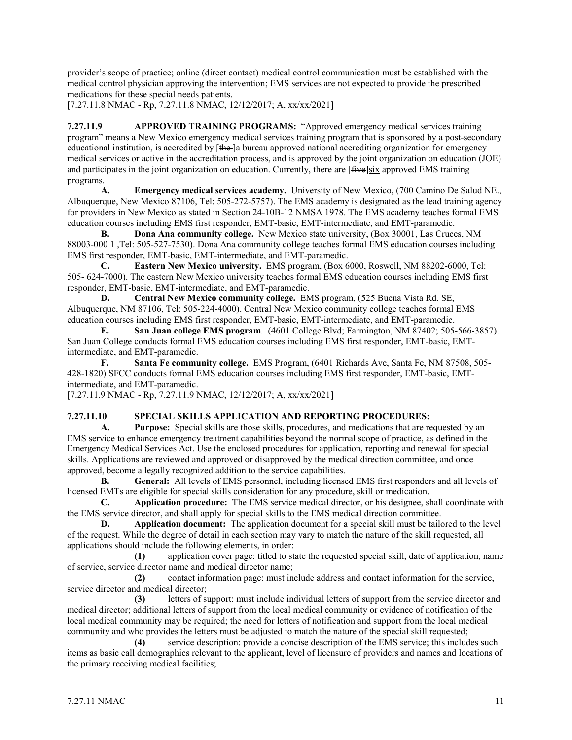provider's scope of practice; online (direct contact) medical control communication must be established with the medical control physician approving the intervention; EMS services are not expected to provide the prescribed medications for these special needs patients.

[7.27.11.8 NMAC - Rp, 7.27.11.8 NMAC, 12/12/2017; A, xx/xx/2021]

**7.27.11.9 APPROVED TRAINING PROGRAMS:** "Approved emergency medical services training program" means a New Mexico emergency medical services training program that is sponsored by a post-secondary educational institution, is accredited by [the ]a bureau approved national accrediting organization for emergency medical services or active in the accreditation process, and is approved by the joint organization on education (JOE) and participates in the joint organization on education. Currently, there are [five]six approved EMS training programs.

**A. Emergency medical services academy.** University of New Mexico, (700 Camino De Salud NE., Albuquerque, New Mexico 87106, Tel: 505-272-5757). The EMS academy is designated as the lead training agency for providers in New Mexico as stated in Section 24-10B-12 NMSA 1978. The EMS academy teaches formal EMS education courses including EMS first responder, EMT-basic, EMT-intermediate, and EMT-paramedic.

**B. Dona Ana community college.** New Mexico state university, (Box 30001, Las Cruces, NM 88003-000 1 ,Tel: 505-527-7530). Dona Ana community college teaches formal EMS education courses including EMS first responder, EMT-basic, EMT-intermediate, and EMT-paramedic.

**C. Eastern New Mexico university.** EMS program, (Box 6000, Roswell, NM 88202-6000, Tel: 505- 624-7000). The eastern New Mexico university teaches formal EMS education courses including EMS first responder, EMT-basic, EMT-intermediate, and EMT-paramedic.

**D. Central New Mexico community college.** EMS program, (525 Buena Vista Rd. SE, Albuquerque, NM 87106, Tel: 505-224-4000). Central New Mexico community college teaches formal EMS education courses including EMS first responder, EMT-basic, EMT-intermediate, and EMT-paramedic.

**E. San Juan college EMS program**. (4601 College Blvd; Farmington, NM 87402; 505-566-3857). San Juan College conducts formal EMS education courses including EMS first responder, EMT-basic, EMTintermediate, and EMT-paramedic.

**F. Santa Fe community college.** EMS Program, (6401 Richards Ave, Santa Fe, NM 87508, 505- 428-1820) SFCC conducts formal EMS education courses including EMS first responder, EMT-basic, EMTintermediate, and EMT-paramedic.

[7.27.11.9 NMAC - Rp, 7.27.11.9 NMAC, 12/12/2017; A, xx/xx/2021]

# **7.27.11.10 SPECIAL SKILLS APPLICATION AND REPORTING PROCEDURES:**

**A. Purpose:** Special skills are those skills, procedures, and medications that are requested by an EMS service to enhance emergency treatment capabilities beyond the normal scope of practice, as defined in the Emergency Medical Services Act. Use the enclosed procedures for application, reporting and renewal for special skills. Applications are reviewed and approved or disapproved by the medical direction committee, and once approved, become a legally recognized addition to the service capabilities.

**B. General:** All levels of EMS personnel, including licensed EMS first responders and all levels of licensed EMTs are eligible for special skills consideration for any procedure, skill or medication.

**C. Application procedure:** The EMS service medical director, or his designee, shall coordinate with the EMS service director, and shall apply for special skills to the EMS medical direction committee.

**D. Application document:** The application document for a special skill must be tailored to the level of the request. While the degree of detail in each section may vary to match the nature of the skill requested, all applications should include the following elements, in order:

**(1)** application cover page: titled to state the requested special skill, date of application, name of service, service director name and medical director name;

**(2)** contact information page: must include address and contact information for the service, service director and medical director;

**(3)** letters of support: must include individual letters of support from the service director and medical director; additional letters of support from the local medical community or evidence of notification of the local medical community may be required; the need for letters of notification and support from the local medical community and who provides the letters must be adjusted to match the nature of the special skill requested;

**(4)** service description: provide a concise description of the EMS service; this includes such items as basic call demographics relevant to the applicant, level of licensure of providers and names and locations of the primary receiving medical facilities;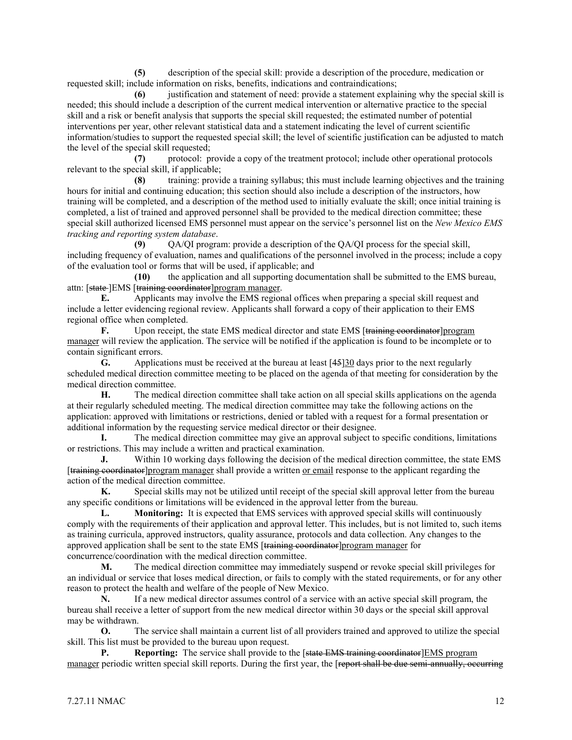**(5)** description of the special skill: provide a description of the procedure, medication or requested skill; include information on risks, benefits, indications and contraindications;

**(6)** justification and statement of need: provide a statement explaining why the special skill is needed; this should include a description of the current medical intervention or alternative practice to the special skill and a risk or benefit analysis that supports the special skill requested; the estimated number of potential interventions per year, other relevant statistical data and a statement indicating the level of current scientific information/studies to support the requested special skill; the level of scientific justification can be adjusted to match the level of the special skill requested;

**(7)** protocol: provide a copy of the treatment protocol; include other operational protocols relevant to the special skill, if applicable;

**(8)** training: provide a training syllabus; this must include learning objectives and the training hours for initial and continuing education; this section should also include a description of the instructors, how training will be completed, and a description of the method used to initially evaluate the skill; once initial training is completed, a list of trained and approved personnel shall be provided to the medical direction committee; these special skill authorized licensed EMS personnel must appear on the service's personnel list on the *New Mexico EMS tracking and reporting system database*.

**(9)** QA/QI program: provide a description of the QA/QI process for the special skill, including frequency of evaluation, names and qualifications of the personnel involved in the process; include a copy of the evaluation tool or forms that will be used, if applicable; and

**(10)** the application and all supporting documentation shall be submitted to the EMS bureau, attn: [state-]EMS [training coordinator]program manager.

**E.** Applicants may involve the EMS regional offices when preparing a special skill request and include a letter evidencing regional review. Applicants shall forward a copy of their application to their EMS regional office when completed.

**F.** Upon receipt, the state EMS medical director and state EMS [training coordinator]program manager will review the application. The service will be notified if the application is found to be incomplete or to contain significant errors.

**G.** Applications must be received at the bureau at least [45]30 days prior to the next regularly scheduled medical direction committee meeting to be placed on the agenda of that meeting for consideration by the medical direction committee.

**H.** The medical direction committee shall take action on all special skills applications on the agenda at their regularly scheduled meeting. The medical direction committee may take the following actions on the application: approved with limitations or restrictions, denied or tabled with a request for a formal presentation or additional information by the requesting service medical director or their designee.

**I.** The medical direction committee may give an approval subject to specific conditions, limitations or restrictions. This may include a written and practical examination.

**J.** Within 10 working days following the decision of the medical direction committee, the state EMS [training coordinator]program manager shall provide a written or email response to the applicant regarding the action of the medical direction committee.

**K.** Special skills may not be utilized until receipt of the special skill approval letter from the bureau any specific conditions or limitations will be evidenced in the approval letter from the bureau.

**L. Monitoring:** It is expected that EMS services with approved special skills will continuously comply with the requirements of their application and approval letter. This includes, but is not limited to, such items as training curricula, approved instructors, quality assurance, protocols and data collection. Any changes to the approved application shall be sent to the state EMS [training coordinator] program manager for concurrence/coordination with the medical direction committee.

**M.** The medical direction committee may immediately suspend or revoke special skill privileges for an individual or service that loses medical direction, or fails to comply with the stated requirements, or for any other reason to protect the health and welfare of the people of New Mexico.

**N.** If a new medical director assumes control of a service with an active special skill program, the bureau shall receive a letter of support from the new medical director within 30 days or the special skill approval may be withdrawn.

**O.** The service shall maintain a current list of all providers trained and approved to utilize the special skill. This list must be provided to the bureau upon request.

**P. Reporting:** The service shall provide to the [state EMS training coordinator]EMS program manager periodic written special skill reports. During the first year, the [report shall be due semi-annually, occurring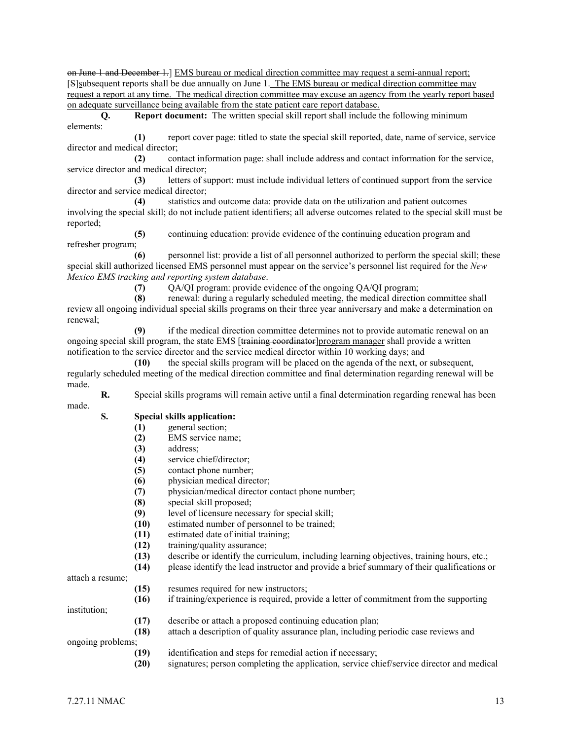on June 1 and December 1.] EMS bureau or medical direction committee may request a semi-annual report; [S]subsequent reports shall be due annually on June 1. The EMS bureau or medical direction committee may request a report at any time. The medical direction committee may excuse an agency from the yearly report based on adequate surveillance being available from the state patient care report database.

**Q. Report document:** The written special skill report shall include the following minimum elements:

**(1)** report cover page: titled to state the special skill reported, date, name of service, service director and medical director;

**(2)** contact information page: shall include address and contact information for the service, service director and medical director;

**(3)** letters of support: must include individual letters of continued support from the service director and service medical director;

**(4)** statistics and outcome data: provide data on the utilization and patient outcomes involving the special skill; do not include patient identifiers; all adverse outcomes related to the special skill must be reported;

**(5)** continuing education: provide evidence of the continuing education program and refresher program;

**(6)** personnel list: provide a list of all personnel authorized to perform the special skill; these special skill authorized licensed EMS personnel must appear on the service's personnel list required for the *New Mexico EMS tracking and reporting system database*.

**(7)** QA/QI program: provide evidence of the ongoing QA/QI program;

**(8)** renewal: during a regularly scheduled meeting, the medical direction committee shall review all ongoing individual special skills programs on their three year anniversary and make a determination on renewal;

**(9)** if the medical direction committee determines not to provide automatic renewal on an ongoing special skill program, the state EMS [training coordinator] program manager shall provide a written notification to the service director and the service medical director within 10 working days; and

**(10)** the special skills program will be placed on the agenda of the next, or subsequent, regularly scheduled meeting of the medical direction committee and final determination regarding renewal will be made.

**R.** Special skills programs will remain active until a final determination regarding renewal has been made.

# **S. Special skills application:**

- **(1)** general section;
- **(2)** EMS service name;
- **(3)** address;
- **(4)** service chief/director;
- **(5)** contact phone number;
- **(6)** physician medical director;
- **(7)** physician/medical director contact phone number;
- **(8)** special skill proposed;
- **(9)** level of licensure necessary for special skill;
- **(10)** estimated number of personnel to be trained;
- **(11)** estimated date of initial training;
- **(12)** training/quality assurance;
- **(13)** describe or identify the curriculum, including learning objectives, training hours, etc.;
- **(14)** please identify the lead instructor and provide a brief summary of their qualifications or

attach a resume;

- **(15)** resumes required for new instructors;
- **(16)** if training/experience is required, provide a letter of commitment from the supporting

institution;

- **(17)** describe or attach a proposed continuing education plan;
- **(18)** attach a description of quality assurance plan, including periodic case reviews and

ongoing problems;

- **(19)** identification and steps for remedial action if necessary;
- **(20)** signatures; person completing the application, service chief/service director and medical